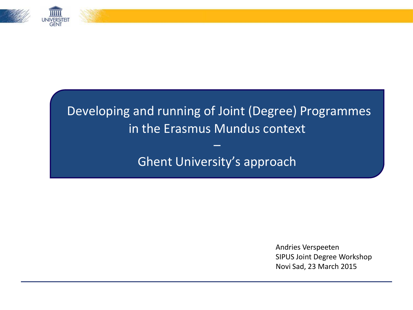

# Developing and running of Joint (Degree) Programmes in the Erasmus Mundus context

Ghent University's approach

–

Andries Verspeeten SIPUS Joint Degree Workshop Novi Sad, 23 March 2015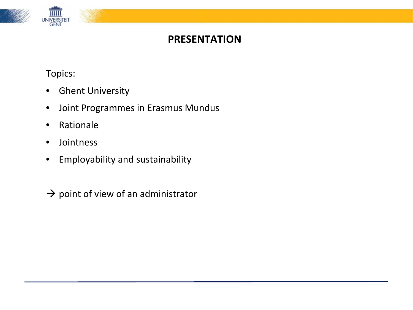

#### **PRESENTATION**

Topics:

- Ghent University
- Joint Programmes in Erasmus Mundus
- Rationale
- Jointness
- Employability and sustainability

 $\rightarrow$  point of view of an administrator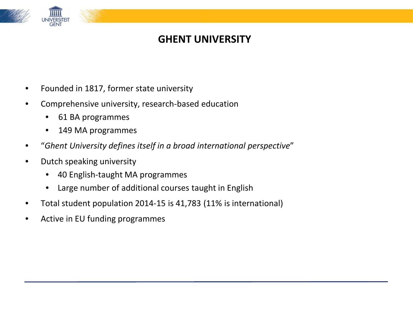

#### **GHENT UNIVERSITY**

- Founded in 1817, former state university
- Comprehensive university, research-based education
	- 61 BA programmes
	- 149 MA programmes
- "*Ghent University defines itself in a broad international perspective*"
- Dutch speaking university
	- 40 English-taught MA programmes
	- Large number of additional courses taught in English
- Total student population 2014-15 is 41,783 (11% is international)
- Active in EU funding programmes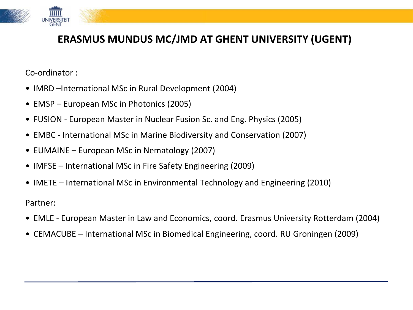

## **ERASMUS MUNDUS MC/JMD AT GHENT UNIVERSITY (UGENT)**

Co-ordinator :

- IMRD –International MSc in Rural Development (2004)
- EMSP European MSc in Photonics (2005)
- FUSION European Master in Nuclear Fusion Sc. and Eng. Physics (2005)
- EMBC International MSc in Marine Biodiversity and Conservation (2007)
- EUMAINE European MSc in Nematology (2007)
- IMFSE International MSc in Fire Safety Engineering (2009)
- IMETE International MSc in Environmental Technology and Engineering (2010)

Partner:

- EMLE European Master in Law and Economics, coord. Erasmus University Rotterdam (2004)
- CEMACUBE International MSc in Biomedical Engineering, coord. RU Groningen (2009)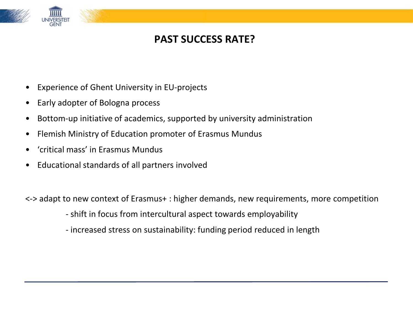

## **PAST SUCCESS RATE?**

- Experience of Ghent University in EU-projects
- Early adopter of Bologna process
- Bottom-up initiative of academics, supported by university administration
- Flemish Ministry of Education promoter of Erasmus Mundus
- 'critical mass' in Erasmus Mundus
- Educational standards of all partners involved

<-> adapt to new context of Erasmus+ : higher demands, new requirements, more competition

- shift in focus from intercultural aspect towards employability

- increased stress on sustainability: funding period reduced in length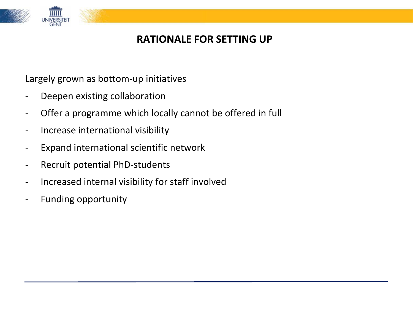

## **RATIONALE FOR SETTING UP**

Largely grown as bottom-up initiatives

- Deepen existing collaboration
- Offer a programme which locally cannot be offered in full
- Increase international visibility
- Expand international scientific network
- Recruit potential PhD-students
- Increased internal visibility for staff involved
- Funding opportunity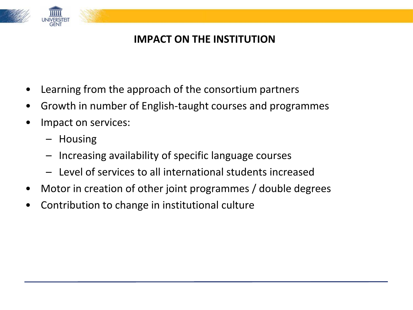

# **IMPACT ON THE INSTITUTION**

- Learning from the approach of the consortium partners
- Growth in number of English-taught courses and programmes
- Impact on services:
	- Housing
	- Increasing availability of specific language courses
	- Level of services to all international students increased
- Motor in creation of other joint programmes / double degrees
- Contribution to change in institutional culture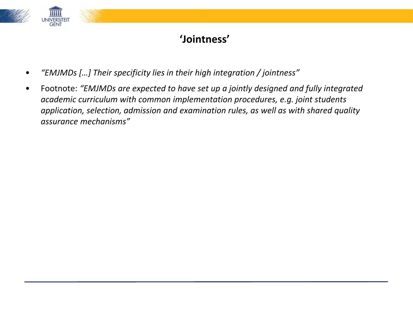

# **'Jointness'**

- *"EMJMDs […] Their specificity lies in their high integration / jointness"*
- Footnote: *"EMJMDs are expected to have set up a jointly designed and fully integrated academic curriculum with common implementation procedures, e.g. joint students application, selection, admission and examination rules, as well as with shared quality assurance mechanisms"*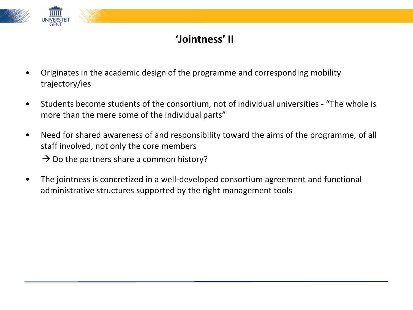

# **'Jointness' II**

- Originates in the academic design of the programme and corresponding mobility trajectory/ies
- Students become students of the consortium, not of individual universities "The whole is more than the mere some of the individual parts"
- Need for shared awareness of and responsibility toward the aims of the programme, of all staff involved, not only the core members

 $\rightarrow$  Do the partners share a common history?

• The jointness is concretized in a well-developed consortium agreement and functional administrative structures supported by the right management tools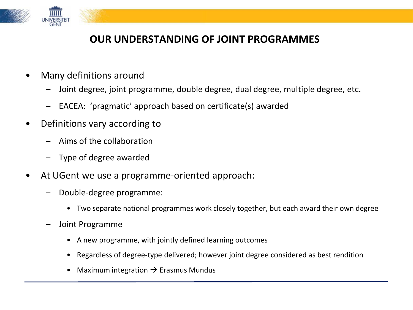

#### **OUR UNDERSTANDING OF JOINT PROGRAMMES**

- Many definitions around
	- Joint degree, joint programme, double degree, dual degree, multiple degree, etc.
	- EACEA: 'pragmatic' approach based on certificate(s) awarded
- Definitions vary according to
	- Aims of the collaboration
	- Type of degree awarded
- At UGent we use a programme-oriented approach:
	- Double-degree programme:
		- Two separate national programmes work closely together, but each award their own degree
	- Joint Programme
		- A new programme, with jointly defined learning outcomes
		- Regardless of degree-type delivered; however joint degree considered as best rendition
		- Maximum integration  $\rightarrow$  Erasmus Mundus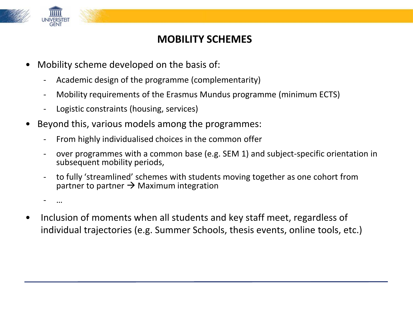

#### **MOBILITY SCHEMES**

- Mobility scheme developed on the basis of:
	- Academic design of the programme (complementarity)
	- Mobility requirements of the Erasmus Mundus programme (minimum ECTS)
	- Logistic constraints (housing, services)
- Beyond this, various models among the programmes:
	- From highly individualised choices in the common offer
	- over programmes with a common base (e.g. SEM 1) and subject-specific orientation in subsequent mobility periods,
	- to fully 'streamlined' schemes with students moving together as one cohort from partner to partner  $\rightarrow$  Maximum integration

- …

• Inclusion of moments when all students and key staff meet, regardless of individual trajectories (e.g. Summer Schools, thesis events, online tools, etc.)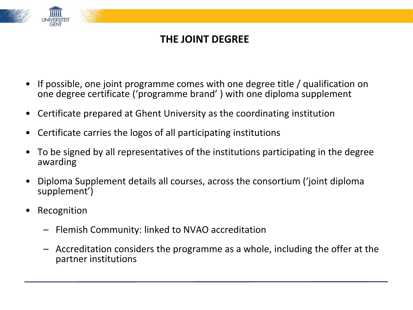

# **THE JOINT DEGREE**

- If possible, one joint programme comes with one degree title / qualification on one degree certificate ('programme brand' ) with one diploma supplement
- Certificate prepared at Ghent University as the coordinating institution
- Certificate carries the logos of all participating institutions
- To be signed by all representatives of the institutions participating in the degree awarding
- Diploma Supplement details all courses, across the consortium ('joint diploma supplement')
- **Recognition** 
	- Flemish Community: linked to NVAO accreditation
	- Accreditation considers the programme as a whole, including the offer at the partner institutions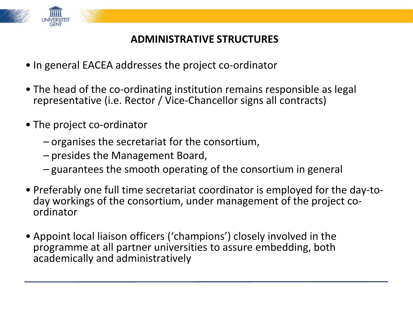

# **ADMINISTRATIVE STRUCTURES**

- In general EACEA addresses the project co-ordinator
- The head of the co-ordinating institution remains responsible as legal representative (i.e. Rector / Vice-Chancellor signs all contracts)
- The project co-ordinator
	- organises the secretariat for the consortium,
	- presides the Management Board,
	- guarantees the smooth operating of the consortium in general
- Preferably one full time secretariat coordinator is employed for the day-to- day workings of the consortium, under management of the project co- ordinator
- Appoint local liaison officers ('champions') closely involved in the programme at all partner universities to assure embedding, both academically and administratively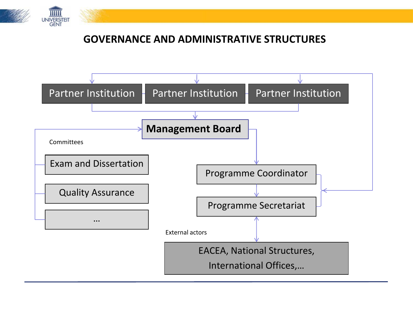

#### **GOVERNANCE AND ADMINISTRATIVE STRUCTURES**

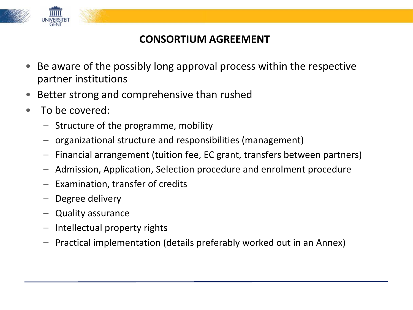

#### **CONSORTIUM AGREEMENT**

- Be aware of the possibly long approval process within the respective partner institutions
- Better strong and comprehensive than rushed
- To be covered:
	- Structure of the programme, mobility
	- organizational structure and responsibilities (management)
	- Financial arrangement (tuition fee, EC grant, transfers between partners)
	- Admission, Application, Selection procedure and enrolment procedure
	- Examination, transfer of credits
	- Degree delivery
	- Quality assurance
	- Intellectual property rights
	- Practical implementation (details preferably worked out in an Annex)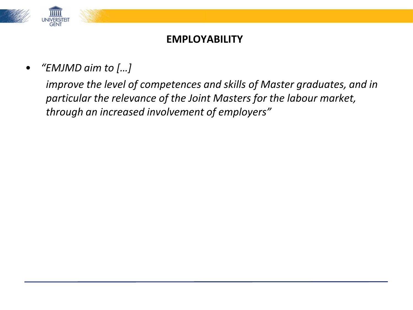

#### **EMPLOYABILITY**

• *"EMJMD aim to […]*

*improve the level of competences and skills of Master graduates, and in particular the relevance of the Joint Masters for the labour market, through an increased involvement of employers"*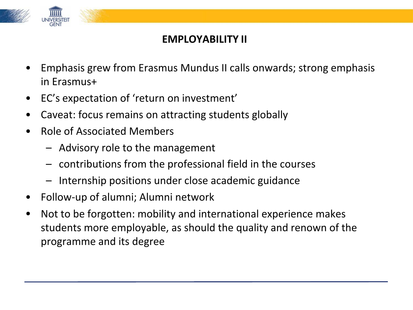

## **EMPLOYABILITY II**

- Emphasis grew from Erasmus Mundus II calls onwards; strong emphasis in Erasmus+
- EC's expectation of 'return on investment'
- Caveat: focus remains on attracting students globally
- Role of Associated Members
	- Advisory role to the management
	- contributions from the professional field in the courses
	- Internship positions under close academic guidance
- Follow-up of alumni; Alumni network
- Not to be forgotten: mobility and international experience makes students more employable, as should the quality and renown of the programme and its degree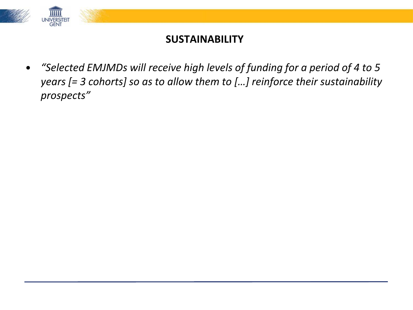

#### **SUSTAINABILITY**

• *"Selected EMJMDs will receive high levels of funding for a period of 4 to 5 years [= 3 cohorts] so as to allow them to […] reinforce their sustainability prospects"*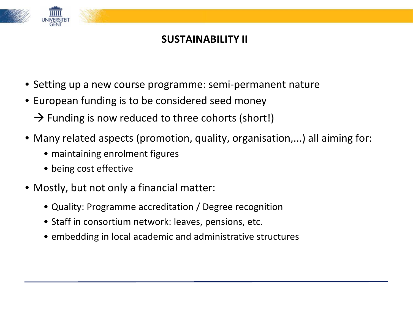

#### **SUSTAINABILITY II**

- Setting up a new course programme: semi-permanent nature
- European funding is to be considered seed money
	- $\rightarrow$  Funding is now reduced to three cohorts (short!)
- Many related aspects (promotion, quality, organisation,...) all aiming for:
	- maintaining enrolment figures
	- being cost effective
- Mostly, but not only a financial matter:
	- Quality: Programme accreditation / Degree recognition
	- Staff in consortium network: leaves, pensions, etc.
	- embedding in local academic and administrative structures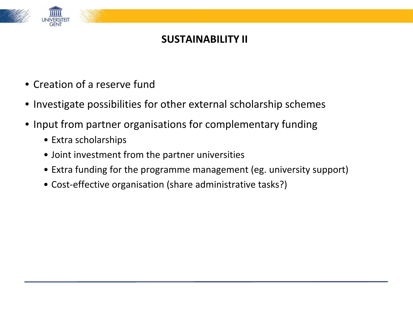

#### **SUSTAINABILITY II**

- Creation of a reserve fund
- Investigate possibilities for other external scholarship schemes
- Input from partner organisations for complementary funding
	- Extra scholarships
	- Joint investment from the partner universities
	- Extra funding for the programme management (eg. university support)
	- Cost-effective organisation (share administrative tasks?)